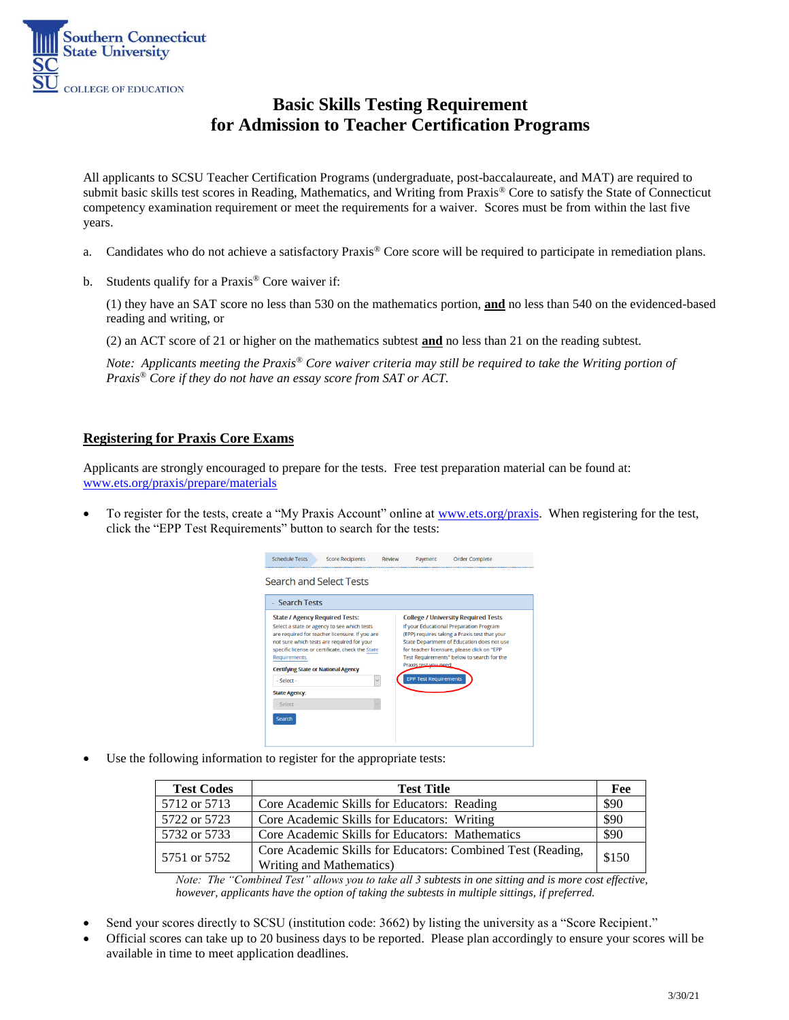

# **Basic Skills Testing Requirement for Admission to Teacher Certification Programs**

All applicants to SCSU Teacher Certification Programs (undergraduate, post-baccalaureate, and MAT) are required to submit basic skills test scores in Reading, Mathematics, and Writing from Praxis® Core to satisfy the State of Connecticut competency examination requirement or meet the requirements for a waiver. Scores must be from within the last five years.

- a. Candidates who do not achieve a satisfactory Praxis® Core score will be required to participate in remediation plans.
- b. Students qualify for a Praxis® Core waiver if:

(1) they have an SAT score no less than 530 on the mathematics portion, **and** no less than 540 on the evidenced-based reading and writing, or

(2) an ACT score of 21 or higher on the mathematics subtest **and** no less than 21 on the reading subtest.

*Note: Applicants meeting the Praxis® Core waiver criteria may still be required to take the Writing portion of Praxis® Core if they do not have an essay score from SAT or ACT.*

## **Registering for Praxis Core Exams**

Applicants are strongly encouraged to prepare for the tests. Free test preparation material can be found at: [www.ets.org/praxis/prepare/materials](http://www.ets.org/praxis/prepare/materials)

 To register for the tests, create a "My Praxis Account" online at [www.ets.org/praxis.](http://www.ets.org/praxis) When registering for the test, click the "EPP Test Requirements" button to search for the tests:



Use the following information to register for the appropriate tests:

| <b>Test Codes</b> | <b>Test Title</b>                                           | Fee   |
|-------------------|-------------------------------------------------------------|-------|
| 5712 or 5713      | Core Academic Skills for Educators: Reading                 | \$90  |
| 5722 or 5723      | Core Academic Skills for Educators: Writing                 | \$90  |
| 5732 or 5733      | Core Academic Skills for Educators: Mathematics             | \$90  |
| 5751 or 5752      | Core Academic Skills for Educators: Combined Test (Reading, | \$150 |
|                   | Writing and Mathematics)                                    |       |

*Note: The "Combined Test" allows you to take all 3 subtests in one sitting and is more cost effective, however, applicants have the option of taking the subtests in multiple sittings, if preferred.*

- Send your scores directly to SCSU (institution code: 3662) by listing the university as a "Score Recipient."
- Official scores can take up to 20 business days to be reported. Please plan accordingly to ensure your scores will be available in time to meet application deadlines.